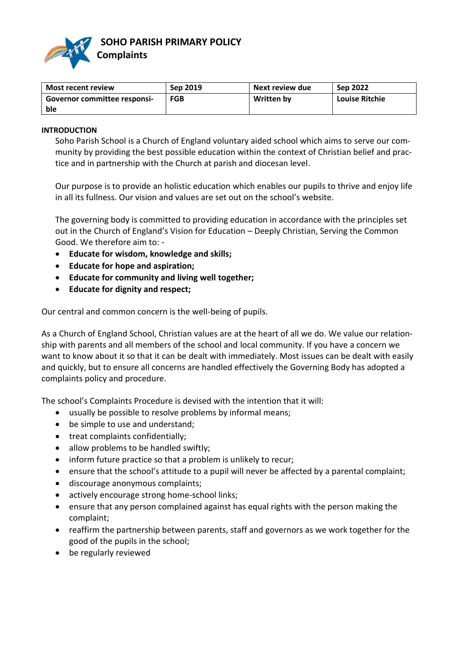

| Most recent review                  | Sep 2019   | Next review due | <b>Sep 2022</b>       |
|-------------------------------------|------------|-----------------|-----------------------|
| <b>Governor committee responsi-</b> | <b>FGB</b> | Written by      | <b>Louise Ritchie</b> |
| ble                                 |            |                 |                       |

### **INTRODUCTION**

Soho Parish School is a Church of England voluntary aided school which aims to serve our community by providing the best possible education within the context of Christian belief and practice and in partnership with the Church at parish and diocesan level.

Our purpose is to provide an holistic education which enables our pupils to thrive and enjoy life in all its fullness. Our vision and values are set out on the school's website.

The governing body is committed to providing education in accordance with the principles set out in the Church of England's Vision for Education – Deeply Christian, Serving the Common Good. We therefore aim to: -

- **Educate for wisdom, knowledge and skills;**
- **Educate for hope and aspiration;**
- **Educate for community and living well together;**
- **Educate for dignity and respect;**

Our central and common concern is the well-being of pupils.

As a Church of England School, Christian values are at the heart of all we do. We value our relationship with parents and all members of the school and local community. If you have a concern we want to know about it so that it can be dealt with immediately. Most issues can be dealt with easily and quickly, but to ensure all concerns are handled effectively the Governing Body has adopted a complaints policy and procedure.

The school's Complaints Procedure is devised with the intention that it will:

- usually be possible to resolve problems by informal means;
- be simple to use and understand;
- treat complaints confidentially;
- allow problems to be handled swiftly;
- inform future practice so that a problem is unlikely to recur;
- ensure that the school's attitude to a pupil will never be affected by a parental complaint;
- discourage anonymous complaints;
- actively encourage strong home-school links;
- ensure that any person complained against has equal rights with the person making the complaint;
- reaffirm the partnership between parents, staff and governors as we work together for the good of the pupils in the school;
- be regularly reviewed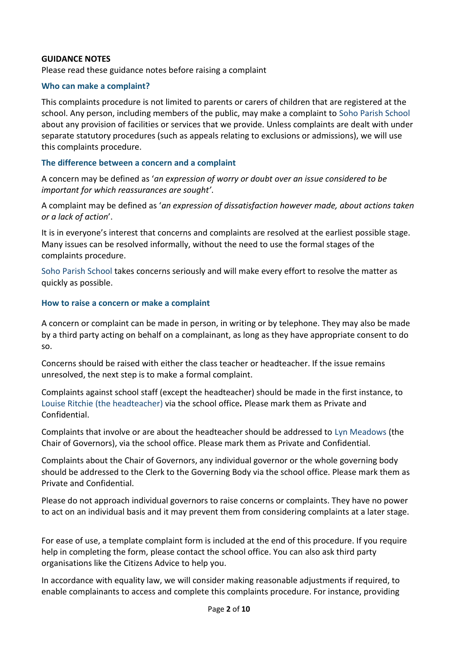## **GUIDANCE NOTES**

Please read these guidance notes before raising a complaint

### **Who can make a complaint?**

This complaints procedure is not limited to parents or carers of children that are registered at the school. Any person, including members of the public, may make a complaint to Soho Parish School about any provision of facilities or services that we provide. Unless complaints are dealt with under separate statutory procedures (such as appeals relating to exclusions or admissions), we will use this complaints procedure.

### **The difference between a concern and a complaint**

A concern may be defined as '*an expression of worry or doubt over an issue considered to be important for which reassurances are sought'*.

A complaint may be defined as '*an expression of dissatisfaction however made, about actions taken or a lack of action*'.

It is in everyone's interest that concerns and complaints are resolved at the earliest possible stage. Many issues can be resolved informally, without the need to use the formal stages of the complaints procedure.

Soho Parish School takes concerns seriously and will make every effort to resolve the matter as quickly as possible.

### **How to raise a concern or make a complaint**

A concern or complaint can be made in person, in writing or by telephone. They may also be made by a third party acting on behalf on a complainant, as long as they have appropriate consent to do so.

Concerns should be raised with either the class teacher or headteacher. If the issue remains unresolved, the next step is to make a formal complaint.

Complaints against school staff (except the headteacher) should be made in the first instance, to Louise Ritchie (the headteacher) via the school office*.* Please mark them as Private and Confidential.

Complaints that involve or are about the headteacher should be addressed to Lyn Meadows (the Chair of Governors), via the school office. Please mark them as Private and Confidential.

Complaints about the Chair of Governors, any individual governor or the whole governing body should be addressed to the Clerk to the Governing Body via the school office. Please mark them as Private and Confidential.

Please do not approach individual governors to raise concerns or complaints. They have no power to act on an individual basis and it may prevent them from considering complaints at a later stage.

For ease of use, a template complaint form is included at the end of this procedure. If you require help in completing the form, please contact the school office. You can also ask third party organisations like the Citizens Advice to help you.

In accordance with equality law, we will consider making reasonable adjustments if required, to enable complainants to access and complete this complaints procedure. For instance, providing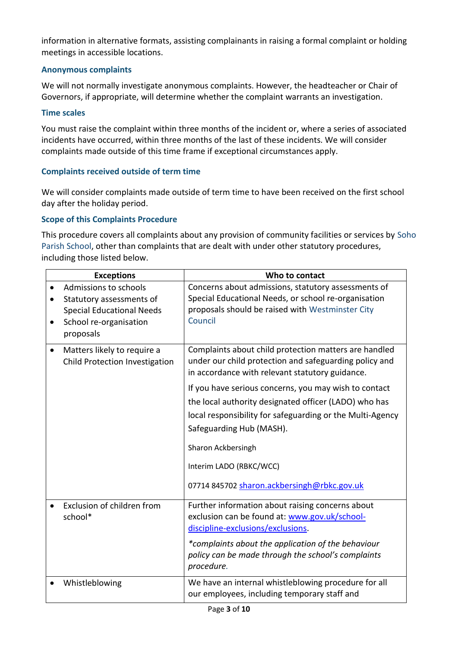information in alternative formats, assisting complainants in raising a formal complaint or holding meetings in accessible locations.

## **Anonymous complaints**

We will not normally investigate anonymous complaints. However, the headteacher or Chair of Governors, if appropriate, will determine whether the complaint warrants an investigation.

### **Time scales**

You must raise the complaint within three months of the incident or, where a series of associated incidents have occurred, within three months of the last of these incidents. We will consider complaints made outside of this time frame if exceptional circumstances apply.

### **Complaints received outside of term time**

We will consider complaints made outside of term time to have been received on the first school day after the holiday period.

### **Scope of this Complaints Procedure**

This procedure covers all complaints about any provision of community facilities or services by Soho Parish School, other than complaints that are dealt with under other statutory procedures, including those listed below.

|           | <b>Exceptions</b>                                                                                                            | Who to contact                                                                                                                                                                                                                                                                                                                                                                                                                                                                |
|-----------|------------------------------------------------------------------------------------------------------------------------------|-------------------------------------------------------------------------------------------------------------------------------------------------------------------------------------------------------------------------------------------------------------------------------------------------------------------------------------------------------------------------------------------------------------------------------------------------------------------------------|
|           | Admissions to schools<br>Statutory assessments of<br><b>Special Educational Needs</b><br>School re-organisation<br>proposals | Concerns about admissions, statutory assessments of<br>Special Educational Needs, or school re-organisation<br>proposals should be raised with Westminster City<br>Council                                                                                                                                                                                                                                                                                                    |
| $\bullet$ | Matters likely to require a<br>Child Protection Investigation                                                                | Complaints about child protection matters are handled<br>under our child protection and safeguarding policy and<br>in accordance with relevant statutory guidance.<br>If you have serious concerns, you may wish to contact<br>the local authority designated officer (LADO) who has<br>local responsibility for safeguarding or the Multi-Agency<br>Safeguarding Hub (MASH).<br>Sharon Ackbersingh<br>Interim LADO (RBKC/WCC)<br>07714 845702 sharon.ackbersingh@rbkc.gov.uk |
|           | Exclusion of children from<br>school*                                                                                        | Further information about raising concerns about<br>exclusion can be found at: www.gov.uk/school-<br>discipline-exclusions/exclusions.<br>*complaints about the application of the behaviour<br>policy can be made through the school's complaints<br>procedure.                                                                                                                                                                                                              |
|           | Whistleblowing                                                                                                               | We have an internal whistleblowing procedure for all<br>our employees, including temporary staff and                                                                                                                                                                                                                                                                                                                                                                          |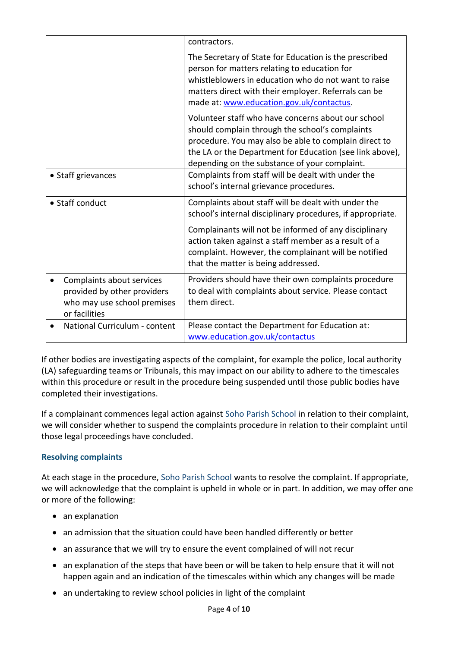|                                                                                                          | contractors.                                                                                                                                                                                                                                                                |
|----------------------------------------------------------------------------------------------------------|-----------------------------------------------------------------------------------------------------------------------------------------------------------------------------------------------------------------------------------------------------------------------------|
|                                                                                                          | The Secretary of State for Education is the prescribed<br>person for matters relating to education for<br>whistleblowers in education who do not want to raise<br>matters direct with their employer. Referrals can be<br>made at: www.education.gov.uk/contactus.          |
|                                                                                                          | Volunteer staff who have concerns about our school<br>should complain through the school's complaints<br>procedure. You may also be able to complain direct to<br>the LA or the Department for Education (see link above),<br>depending on the substance of your complaint. |
| • Staff grievances                                                                                       | Complaints from staff will be dealt with under the<br>school's internal grievance procedures.                                                                                                                                                                               |
| • Staff conduct                                                                                          | Complaints about staff will be dealt with under the<br>school's internal disciplinary procedures, if appropriate.                                                                                                                                                           |
|                                                                                                          | Complainants will not be informed of any disciplinary<br>action taken against a staff member as a result of a<br>complaint. However, the complainant will be notified<br>that the matter is being addressed.                                                                |
| Complaints about services<br>provided by other providers<br>who may use school premises<br>or facilities | Providers should have their own complaints procedure<br>to deal with complaints about service. Please contact<br>them direct.                                                                                                                                               |
| National Curriculum - content                                                                            | Please contact the Department for Education at:<br>www.education.gov.uk/contactus                                                                                                                                                                                           |

If other bodies are investigating aspects of the complaint, for example the police, local authority (LA) safeguarding teams or Tribunals, this may impact on our ability to adhere to the timescales within this procedure or result in the procedure being suspended until those public bodies have completed their investigations.

If a complainant commences legal action against Soho Parish School in relation to their complaint, we will consider whether to suspend the complaints procedure in relation to their complaint until those legal proceedings have concluded.

# **Resolving complaints**

At each stage in the procedure, Soho Parish School wants to resolve the complaint. If appropriate, we will acknowledge that the complaint is upheld in whole or in part. In addition, we may offer one or more of the following:

- an explanation
- an admission that the situation could have been handled differently or better
- an assurance that we will try to ensure the event complained of will not recur
- an explanation of the steps that have been or will be taken to help ensure that it will not happen again and an indication of the timescales within which any changes will be made
- an undertaking to review school policies in light of the complaint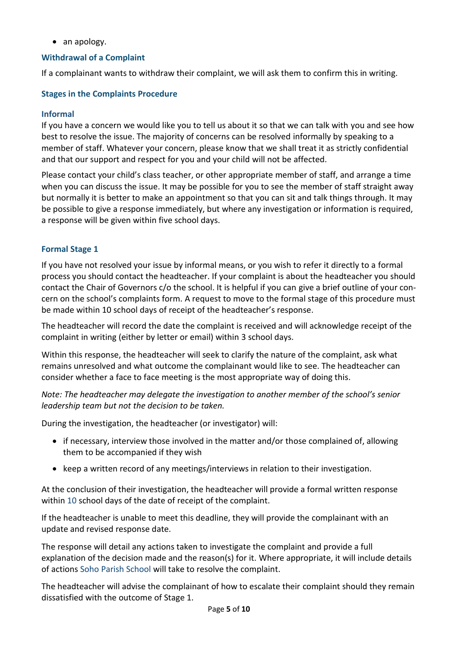• an apology.

## **Withdrawal of a Complaint**

If a complainant wants to withdraw their complaint, we will ask them to confirm this in writing.

## **Stages in the Complaints Procedure**

### **Informal**

If you have a concern we would like you to tell us about it so that we can talk with you and see how best to resolve the issue. The majority of concerns can be resolved informally by speaking to a member of staff. Whatever your concern, please know that we shall treat it as strictly confidential and that our support and respect for you and your child will not be affected.

Please contact your child's class teacher, or other appropriate member of staff, and arrange a time when you can discuss the issue. It may be possible for you to see the member of staff straight away but normally it is better to make an appointment so that you can sit and talk things through. It may be possible to give a response immediately, but where any investigation or information is required, a response will be given within five school days.

## **Formal Stage 1**

If you have not resolved your issue by informal means, or you wish to refer it directly to a formal process you should contact the headteacher. If your complaint is about the headteacher you should contact the Chair of Governors c/o the school. It is helpful if you can give a brief outline of your concern on the school's complaints form. A request to move to the formal stage of this procedure must be made within 10 school days of receipt of the headteacher's response.

The headteacher will record the date the complaint is received and will acknowledge receipt of the complaint in writing (either by letter or email) within 3 school days.

Within this response, the headteacher will seek to clarify the nature of the complaint, ask what remains unresolved and what outcome the complainant would like to see. The headteacher can consider whether a face to face meeting is the most appropriate way of doing this.

*Note: The headteacher may delegate the investigation to another member of the school's senior leadership team but not the decision to be taken.* 

During the investigation, the headteacher (or investigator) will:

- if necessary, interview those involved in the matter and/or those complained of, allowing them to be accompanied if they wish
- keep a written record of any meetings/interviews in relation to their investigation.

At the conclusion of their investigation, the headteacher will provide a formal written response within 10 school days of the date of receipt of the complaint.

If the headteacher is unable to meet this deadline, they will provide the complainant with an update and revised response date.

The response will detail any actions taken to investigate the complaint and provide a full explanation of the decision made and the reason(s) for it. Where appropriate, it will include details of actions Soho Parish School will take to resolve the complaint.

The headteacher will advise the complainant of how to escalate their complaint should they remain dissatisfied with the outcome of Stage 1.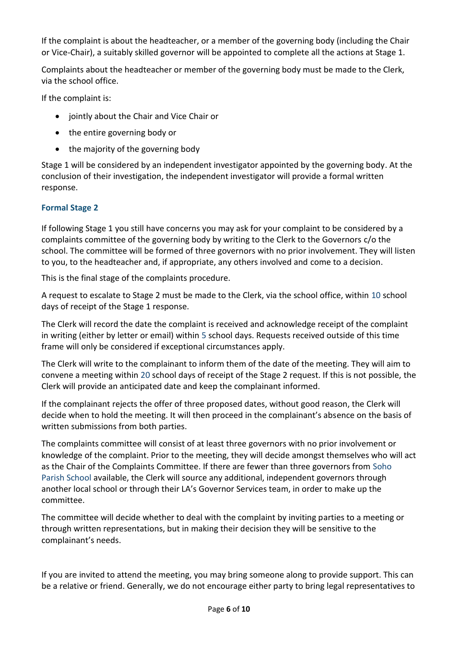If the complaint is about the headteacher, or a member of the governing body (including the Chair or Vice-Chair), a suitably skilled governor will be appointed to complete all the actions at Stage 1.

Complaints about the headteacher or member of the governing body must be made to the Clerk, via the school office.

If the complaint is:

- jointly about the Chair and Vice Chair or
- the entire governing body or
- the majority of the governing body

Stage 1 will be considered by an independent investigator appointed by the governing body. At the conclusion of their investigation, the independent investigator will provide a formal written response.

# **Formal Stage 2**

If following Stage 1 you still have concerns you may ask for your complaint to be considered by a complaints committee of the governing body by writing to the Clerk to the Governors c/o the school. The committee will be formed of three governors with no prior involvement. They will listen to you, to the headteacher and, if appropriate, any others involved and come to a decision.

This is the final stage of the complaints procedure.

A request to escalate to Stage 2 must be made to the Clerk, via the school office, within 10 school days of receipt of the Stage 1 response.

The Clerk will record the date the complaint is received and acknowledge receipt of the complaint in writing (either by letter or email) within 5 school days. Requests received outside of this time frame will only be considered if exceptional circumstances apply.

The Clerk will write to the complainant to inform them of the date of the meeting. They will aim to convene a meeting within 20 school days of receipt of the Stage 2 request. If this is not possible, the Clerk will provide an anticipated date and keep the complainant informed.

If the complainant rejects the offer of three proposed dates, without good reason, the Clerk will decide when to hold the meeting. It will then proceed in the complainant's absence on the basis of written submissions from both parties.

The complaints committee will consist of at least three governors with no prior involvement or knowledge of the complaint. Prior to the meeting, they will decide amongst themselves who will act as the Chair of the Complaints Committee. If there are fewer than three governors from Soho Parish School available, the Clerk will source any additional, independent governors through another local school or through their LA's Governor Services team, in order to make up the committee.

The committee will decide whether to deal with the complaint by inviting parties to a meeting or through written representations, but in making their decision they will be sensitive to the complainant's needs.

If you are invited to attend the meeting, you may bring someone along to provide support. This can be a relative or friend. Generally, we do not encourage either party to bring legal representatives to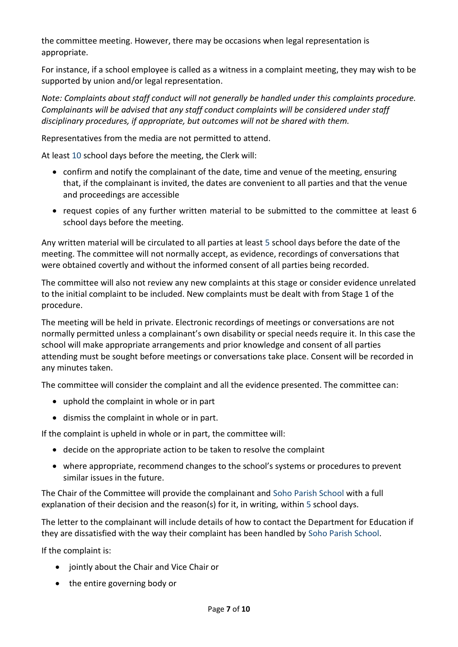the committee meeting. However, there may be occasions when legal representation is appropriate.

For instance, if a school employee is called as a witness in a complaint meeting, they may wish to be supported by union and/or legal representation.

*Note: Complaints about staff conduct will not generally be handled under this complaints procedure. Complainants will be advised that any staff conduct complaints will be considered under staff disciplinary procedures, if appropriate, but outcomes will not be shared with them.* 

Representatives from the media are not permitted to attend.

At least 10 school days before the meeting, the Clerk will:

- confirm and notify the complainant of the date, time and venue of the meeting, ensuring that, if the complainant is invited, the dates are convenient to all parties and that the venue and proceedings are accessible
- request copies of any further written material to be submitted to the committee at least 6 school days before the meeting.

Any written material will be circulated to all parties at least 5 school days before the date of the meeting. The committee will not normally accept, as evidence, recordings of conversations that were obtained covertly and without the informed consent of all parties being recorded.

The committee will also not review any new complaints at this stage or consider evidence unrelated to the initial complaint to be included. New complaints must be dealt with from Stage 1 of the procedure.

The meeting will be held in private. Electronic recordings of meetings or conversations are not normally permitted unless a complainant's own disability or special needs require it. In this case the school will make appropriate arrangements and prior knowledge and consent of all parties attending must be sought before meetings or conversations take place. Consent will be recorded in any minutes taken.

The committee will consider the complaint and all the evidence presented. The committee can:

- uphold the complaint in whole or in part
- dismiss the complaint in whole or in part.

If the complaint is upheld in whole or in part, the committee will:

- decide on the appropriate action to be taken to resolve the complaint
- where appropriate, recommend changes to the school's systems or procedures to prevent similar issues in the future.

The Chair of the Committee will provide the complainant and Soho Parish School with a full explanation of their decision and the reason(s) for it, in writing, within 5 school days.

The letter to the complainant will include details of how to contact the Department for Education if they are dissatisfied with the way their complaint has been handled by Soho Parish School.

If the complaint is:

- jointly about the Chair and Vice Chair or
- the entire governing body or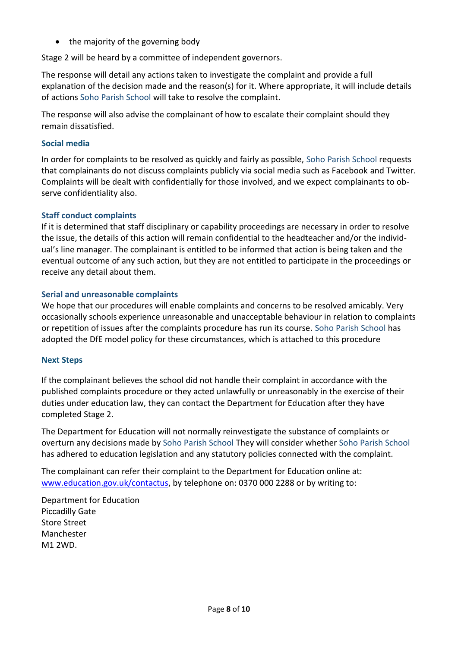• the majority of the governing body

Stage 2 will be heard by a committee of independent governors.

The response will detail any actions taken to investigate the complaint and provide a full explanation of the decision made and the reason(s) for it. Where appropriate, it will include details of actions Soho Parish School will take to resolve the complaint.

The response will also advise the complainant of how to escalate their complaint should they remain dissatisfied.

## **Social media**

In order for complaints to be resolved as quickly and fairly as possible, Soho Parish School requests that complainants do not discuss complaints publicly via social media such as Facebook and Twitter. Complaints will be dealt with confidentially for those involved, and we expect complainants to observe confidentiality also.

## **Staff conduct complaints**

If it is determined that staff disciplinary or capability proceedings are necessary in order to resolve the issue, the details of this action will remain confidential to the headteacher and/or the individual's line manager. The complainant is entitled to be informed that action is being taken and the eventual outcome of any such action, but they are not entitled to participate in the proceedings or receive any detail about them.

## **Serial and unreasonable complaints**

We hope that our procedures will enable complaints and concerns to be resolved amicably. Very occasionally schools experience unreasonable and unacceptable behaviour in relation to complaints or repetition of issues after the complaints procedure has run its course. Soho Parish School has adopted the DfE model policy for these circumstances, which is attached to this procedure

## **Next Steps**

If the complainant believes the school did not handle their complaint in accordance with the published complaints procedure or they acted unlawfully or unreasonably in the exercise of their duties under education law, they can contact the Department for Education after they have completed Stage 2.

The Department for Education will not normally reinvestigate the substance of complaints or overturn any decisions made by Soho Parish School They will consider whether Soho Parish School has adhered to education legislation and any statutory policies connected with the complaint.

The complainant can refer their complaint to the Department for Education online at: [www.education.gov.uk/contactus,](http://www.education.gov.uk/contactus) by telephone on: 0370 000 2288 or by writing to:

Department for Education Piccadilly Gate Store Street Manchester M1 2WD.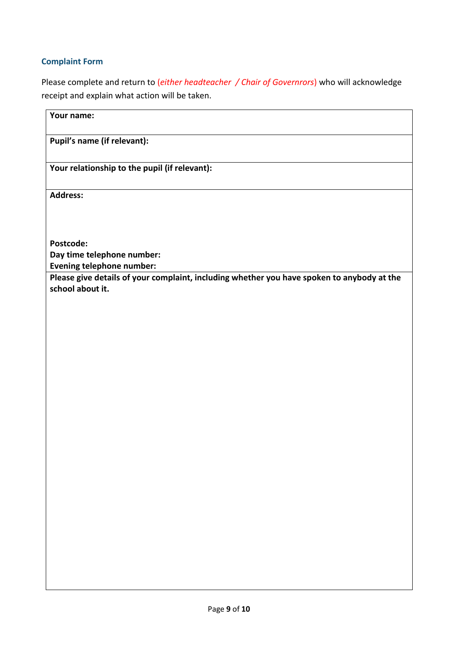## **Complaint Form**

Please complete and return to (*either headteacher / Chair of Governrors*) who will acknowledge receipt and explain what action will be taken.

| Your name:                                                                                 |
|--------------------------------------------------------------------------------------------|
| Pupil's name (if relevant):                                                                |
| Your relationship to the pupil (if relevant):                                              |
| <b>Address:</b>                                                                            |
|                                                                                            |
| Postcode:                                                                                  |
| Day time telephone number:<br><b>Evening telephone number:</b>                             |
| Please give details of your complaint, including whether you have spoken to anybody at the |
| school about it.                                                                           |
|                                                                                            |
|                                                                                            |
|                                                                                            |
|                                                                                            |
|                                                                                            |
|                                                                                            |
|                                                                                            |
|                                                                                            |
|                                                                                            |
|                                                                                            |
|                                                                                            |
|                                                                                            |
|                                                                                            |
|                                                                                            |
|                                                                                            |
|                                                                                            |
|                                                                                            |
|                                                                                            |
|                                                                                            |
|                                                                                            |
|                                                                                            |